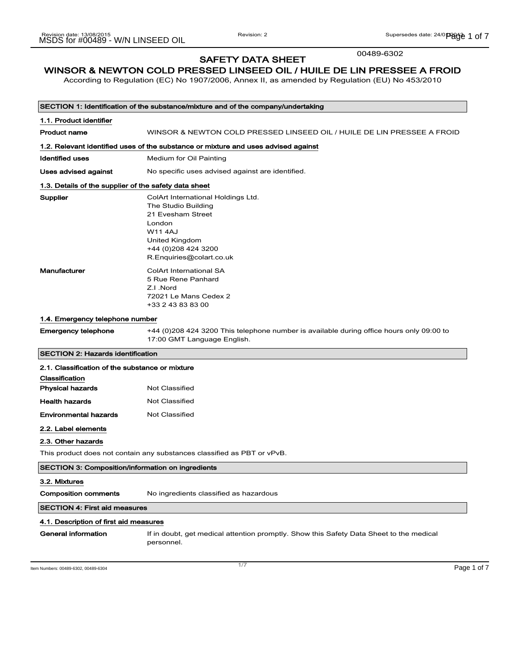00489-6302

### SAFETY DATA SHEET WINSOR & NEWTON COLD PRESSED LINSEED OIL / HUILE DE LIN PRESSEE A FROID

According to Regulation (EC) No 1907/2006, Annex II, as amended by Regulation (EU) No 453/2010

|                                                                         | SECTION 1: Identification of the substance/mixture and of the company/undertaking                                                                                                |
|-------------------------------------------------------------------------|----------------------------------------------------------------------------------------------------------------------------------------------------------------------------------|
| 1.1. Product identifier                                                 |                                                                                                                                                                                  |
| <b>Product name</b>                                                     | WINSOR & NEWTON COLD PRESSED LINSEED OIL / HUILE DE LIN PRESSEE A FROID                                                                                                          |
|                                                                         | 1.2. Relevant identified uses of the substance or mixture and uses advised against                                                                                               |
| <b>Identified uses</b>                                                  | Medium for Oil Painting                                                                                                                                                          |
| Uses advised against                                                    | No specific uses advised against are identified.                                                                                                                                 |
| 1.3. Details of the supplier of the safety data sheet                   |                                                                                                                                                                                  |
| Supplier                                                                | ColArt International Holdings Ltd.<br>The Studio Building<br>21 Evesham Street<br>London<br><b>W11 4AJ</b><br>United Kingdom<br>+44 (0) 208 424 3200<br>R.Enquiries@colart.co.uk |
| <b>Manufacturer</b>                                                     | <b>ColArt International SA</b><br>5 Rue Rene Panhard<br>Z.I.Nord<br>72021 Le Mans Cedex 2<br>+33 2 43 83 83 00                                                                   |
| 1.4. Emergency telephone number                                         |                                                                                                                                                                                  |
| <b>Emergency telephone</b>                                              | +44 (0)208 424 3200 This telephone number is available during office hours only 09:00 to<br>17:00 GMT Language English.                                                          |
| <b>SECTION 2: Hazards identification</b>                                |                                                                                                                                                                                  |
| 2.1. Classification of the substance or mixture                         |                                                                                                                                                                                  |
| Classification                                                          |                                                                                                                                                                                  |
| <b>Physical hazards</b>                                                 | Not Classified                                                                                                                                                                   |
| <b>Health hazards</b>                                                   | <b>Not Classified</b>                                                                                                                                                            |
| <b>Environmental hazards</b>                                            | Not Classified                                                                                                                                                                   |
| 2.2. Label elements                                                     |                                                                                                                                                                                  |
| 2.3. Other hazards                                                      |                                                                                                                                                                                  |
| This product does not contain any substances classified as PBT or vPvB. |                                                                                                                                                                                  |
| <b>SECTION 3: Composition/information on ingredients</b>                |                                                                                                                                                                                  |
| 3.2. Mixtures<br><b>Composition comments</b>                            | No ingredients classified as hazardous                                                                                                                                           |
| <b>SECTION 4: First aid measures</b>                                    |                                                                                                                                                                                  |
| 4.1. Description of first aid measures                                  |                                                                                                                                                                                  |
| General information                                                     | If in doubt, get medical attention promptly. Show this Safety Data Sheet to the medical<br>personnel.                                                                            |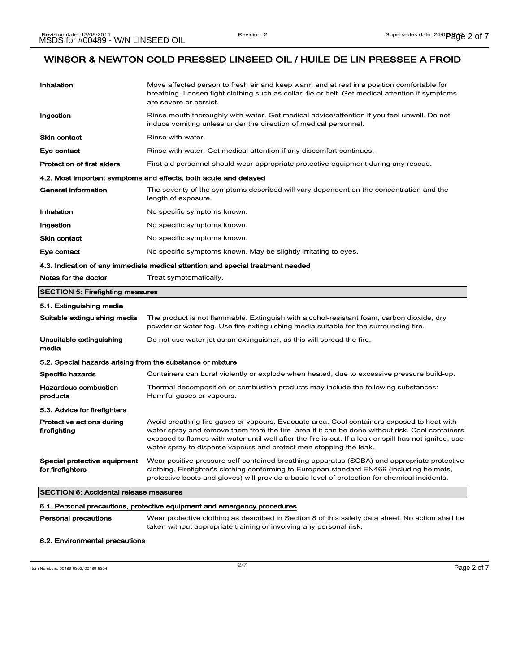| 6.1. Personal precautions, protective equipment and emergency procedures       |                                                                                                                                                                                                                                                                                                                                                                              |  |
|--------------------------------------------------------------------------------|------------------------------------------------------------------------------------------------------------------------------------------------------------------------------------------------------------------------------------------------------------------------------------------------------------------------------------------------------------------------------|--|
| <b>SECTION 6: Accidental release measures</b>                                  |                                                                                                                                                                                                                                                                                                                                                                              |  |
| Special protective equipment<br>for firefighters                               | Wear positive-pressure self-contained breathing apparatus (SCBA) and appropriate protective<br>clothing. Firefighter's clothing conforming to European standard EN469 (including helmets,<br>protective boots and gloves) will provide a basic level of protection for chemical incidents.                                                                                   |  |
| 5.3. Advice for firefighters<br>Protective actions during<br>firefighting      | Avoid breathing fire gases or vapours. Evacuate area. Cool containers exposed to heat with<br>water spray and remove them from the fire area if it can be done without risk. Cool containers<br>exposed to flames with water until well after the fire is out. If a leak or spill has not ignited, use<br>water spray to disperse vapours and protect men stopping the leak. |  |
| products                                                                       | Harmful gases or vapours.                                                                                                                                                                                                                                                                                                                                                    |  |
| <b>Hazardous combustion</b>                                                    | Thermal decomposition or combustion products may include the following substances:                                                                                                                                                                                                                                                                                           |  |
| 5.2. Special hazards arising from the substance or mixture<br>Specific hazards | Containers can burst violently or explode when heated, due to excessive pressure build-up.                                                                                                                                                                                                                                                                                   |  |
| media                                                                          |                                                                                                                                                                                                                                                                                                                                                                              |  |
| Unsuitable extinguishing                                                       | Do not use water jet as an extinguisher, as this will spread the fire.                                                                                                                                                                                                                                                                                                       |  |
| 5.1. Extinguishing media<br>Suitable extinguishing media                       | The product is not flammable. Extinguish with alcohol-resistant foam, carbon dioxide, dry<br>powder or water fog. Use fire-extinguishing media suitable for the surrounding fire.                                                                                                                                                                                            |  |
| <b>SECTION 5: Firefighting measures</b>                                        |                                                                                                                                                                                                                                                                                                                                                                              |  |
| Notes for the doctor                                                           | Treat symptomatically.                                                                                                                                                                                                                                                                                                                                                       |  |
|                                                                                | 4.3. Indication of any immediate medical attention and special treatment needed                                                                                                                                                                                                                                                                                              |  |
| Eye contact                                                                    | No specific symptoms known. May be slightly irritating to eyes.                                                                                                                                                                                                                                                                                                              |  |
| <b>Skin contact</b>                                                            | No specific symptoms known.                                                                                                                                                                                                                                                                                                                                                  |  |
| Ingestion                                                                      | No specific symptoms known.                                                                                                                                                                                                                                                                                                                                                  |  |
| Inhalation                                                                     | No specific symptoms known.                                                                                                                                                                                                                                                                                                                                                  |  |
| <b>General information</b>                                                     | The severity of the symptoms described will vary dependent on the concentration and the<br>length of exposure.                                                                                                                                                                                                                                                               |  |
| 4.2. Most important symptoms and effects, both acute and delayed               |                                                                                                                                                                                                                                                                                                                                                                              |  |
| <b>Protection of first aiders</b>                                              | First aid personnel should wear appropriate protective equipment during any rescue.                                                                                                                                                                                                                                                                                          |  |
| Eye contact                                                                    | Rinse with water. Get medical attention if any discomfort continues.                                                                                                                                                                                                                                                                                                         |  |
| <b>Skin contact</b>                                                            | induce vomiting unless under the direction of medical personnel.<br>Rinse with water.                                                                                                                                                                                                                                                                                        |  |
| Ingestion                                                                      | Rinse mouth thoroughly with water. Get medical advice/attention if you feel unwell. Do not                                                                                                                                                                                                                                                                                   |  |
| Inhalation                                                                     | Move affected person to fresh air and keep warm and at rest in a position comfortable for<br>breathing. Loosen tight clothing such as collar, tie or belt. Get medical attention if symptoms<br>are severe or persist.                                                                                                                                                       |  |
|                                                                                |                                                                                                                                                                                                                                                                                                                                                                              |  |

Personal precautions Wear protective clothing as described in Section 8 of this safety data sheet. No action shall be taken without appropriate training or involving any personal risk.

#### 6.2. Environmental precautions

Item Numbers: 00489-6302, 00489-6304 Page 2 of 7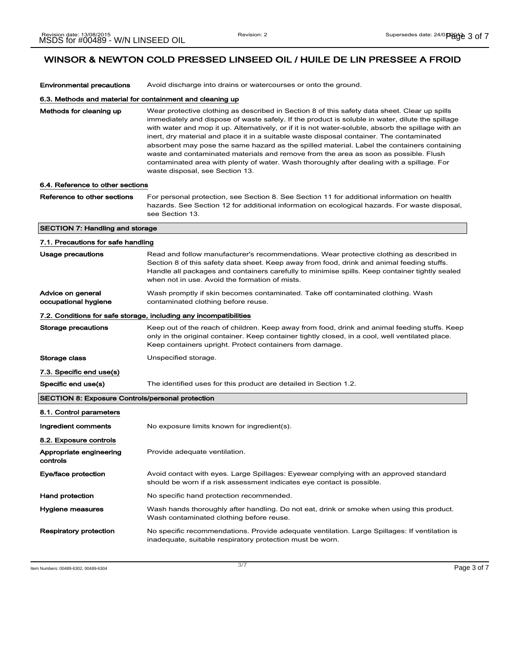| <b>Environmental precautions</b>                          | Avoid discharge into drains or watercourses or onto the ground.                                                                                                                                                                                                                                                                                                                                                                                                                                                                                                                                                                                                                                                               |  |
|-----------------------------------------------------------|-------------------------------------------------------------------------------------------------------------------------------------------------------------------------------------------------------------------------------------------------------------------------------------------------------------------------------------------------------------------------------------------------------------------------------------------------------------------------------------------------------------------------------------------------------------------------------------------------------------------------------------------------------------------------------------------------------------------------------|--|
| 6.3. Methods and material for containment and cleaning up |                                                                                                                                                                                                                                                                                                                                                                                                                                                                                                                                                                                                                                                                                                                               |  |
| Methods for cleaning up                                   | Wear protective clothing as described in Section 8 of this safety data sheet. Clear up spills<br>immediately and dispose of waste safely. If the product is soluble in water, dilute the spillage<br>with water and mop it up. Alternatively, or if it is not water-soluble, absorb the spillage with an<br>inert, dry material and place it in a suitable waste disposal container. The contaminated<br>absorbent may pose the same hazard as the spilled material. Label the containers containing<br>waste and contaminated materials and remove from the area as soon as possible. Flush<br>contaminated area with plenty of water. Wash thoroughly after dealing with a spillage. For<br>waste disposal, see Section 13. |  |
| 6.4. Reference to other sections                          |                                                                                                                                                                                                                                                                                                                                                                                                                                                                                                                                                                                                                                                                                                                               |  |
| Reference to other sections                               | For personal protection, see Section 8. See Section 11 for additional information on health<br>hazards. See Section 12 for additional information on ecological hazards. For waste disposal,<br>see Section 13.                                                                                                                                                                                                                                                                                                                                                                                                                                                                                                               |  |
| <b>SECTION 7: Handling and storage</b>                    |                                                                                                                                                                                                                                                                                                                                                                                                                                                                                                                                                                                                                                                                                                                               |  |
| 7.1. Precautions for safe handling                        |                                                                                                                                                                                                                                                                                                                                                                                                                                                                                                                                                                                                                                                                                                                               |  |
| Usage precautions                                         | Read and follow manufacturer's recommendations. Wear protective clothing as described in<br>Section 8 of this safety data sheet. Keep away from food, drink and animal feeding stuffs.<br>Handle all packages and containers carefully to minimise spills. Keep container tightly sealed<br>when not in use. Avoid the formation of mists.                                                                                                                                                                                                                                                                                                                                                                                    |  |
| Advice on general<br>occupational hygiene                 | Wash promptly if skin becomes contaminated. Take off contaminated clothing. Wash<br>contaminated clothing before reuse.                                                                                                                                                                                                                                                                                                                                                                                                                                                                                                                                                                                                       |  |
|                                                           | 7.2. Conditions for safe storage, including any incompatibilities                                                                                                                                                                                                                                                                                                                                                                                                                                                                                                                                                                                                                                                             |  |
| Storage precautions                                       | Keep out of the reach of children. Keep away from food, drink and animal feeding stuffs. Keep<br>only in the original container. Keep container tightly closed, in a cool, well ventilated place.<br>Keep containers upright. Protect containers from damage.                                                                                                                                                                                                                                                                                                                                                                                                                                                                 |  |
| Storage class                                             | Unspecified storage.                                                                                                                                                                                                                                                                                                                                                                                                                                                                                                                                                                                                                                                                                                          |  |
| 7.3. Specific end use(s)                                  |                                                                                                                                                                                                                                                                                                                                                                                                                                                                                                                                                                                                                                                                                                                               |  |
| Specific end use(s)                                       | The identified uses for this product are detailed in Section 1.2.                                                                                                                                                                                                                                                                                                                                                                                                                                                                                                                                                                                                                                                             |  |
| <b>SECTION 8: Exposure Controls/personal protection</b>   |                                                                                                                                                                                                                                                                                                                                                                                                                                                                                                                                                                                                                                                                                                                               |  |
| 8.1. Control parameters                                   |                                                                                                                                                                                                                                                                                                                                                                                                                                                                                                                                                                                                                                                                                                                               |  |
| Ingredient comments                                       | No exposure limits known for ingredient(s).                                                                                                                                                                                                                                                                                                                                                                                                                                                                                                                                                                                                                                                                                   |  |
| 8.2. Exposure controls                                    |                                                                                                                                                                                                                                                                                                                                                                                                                                                                                                                                                                                                                                                                                                                               |  |
| Appropriate engineering<br>controls                       | Provide adequate ventilation.                                                                                                                                                                                                                                                                                                                                                                                                                                                                                                                                                                                                                                                                                                 |  |
| Eye/face protection                                       | Avoid contact with eyes. Large Spillages: Eyewear complying with an approved standard<br>should be worn if a risk assessment indicates eye contact is possible.                                                                                                                                                                                                                                                                                                                                                                                                                                                                                                                                                               |  |
| <b>Hand protection</b>                                    | No specific hand protection recommended.                                                                                                                                                                                                                                                                                                                                                                                                                                                                                                                                                                                                                                                                                      |  |
| Hygiene measures                                          | Wash hands thoroughly after handling. Do not eat, drink or smoke when using this product.<br>Wash contaminated clothing before reuse.                                                                                                                                                                                                                                                                                                                                                                                                                                                                                                                                                                                         |  |
| <b>Respiratory protection</b>                             | No specific recommendations. Provide adequate ventilation. Large Spillages: If ventilation is<br>inadequate, suitable respiratory protection must be worn.                                                                                                                                                                                                                                                                                                                                                                                                                                                                                                                                                                    |  |

Item Numbers: 00489-6302, 00489-6304 Page 3 of 7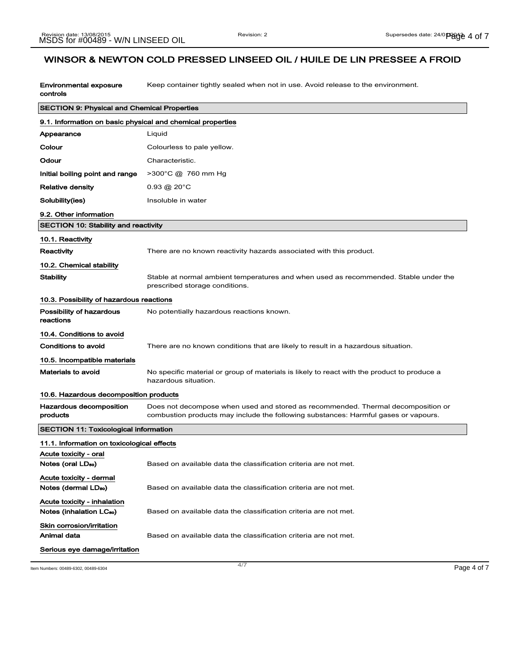Environmental exposure controls Keep container tightly sealed when not in use. Avoid release to the environment.

| <b>SECTION 9: Physical and Chemical Properties</b>                  |                                                                                                                                                                         |
|---------------------------------------------------------------------|-------------------------------------------------------------------------------------------------------------------------------------------------------------------------|
| 9.1. Information on basic physical and chemical properties          |                                                                                                                                                                         |
| Appearance                                                          | Liquid                                                                                                                                                                  |
| Colour                                                              | Colourless to pale yellow.                                                                                                                                              |
| Odour                                                               | Characteristic.                                                                                                                                                         |
| Initial boiling point and range                                     | $>300^{\circ}$ C @ 760 mm Hg                                                                                                                                            |
| Relative density                                                    | $0.93 \circledR 20^{\circ}$ C                                                                                                                                           |
| Solubility(ies)                                                     | Insoluble in water                                                                                                                                                      |
| 9.2. Other information                                              |                                                                                                                                                                         |
| <b>SECTION 10: Stability and reactivity</b>                         |                                                                                                                                                                         |
| 10.1. Reactivity                                                    |                                                                                                                                                                         |
| Reactivity                                                          | There are no known reactivity hazards associated with this product.                                                                                                     |
| 10.2. Chemical stability                                            |                                                                                                                                                                         |
| Stability                                                           | Stable at normal ambient temperatures and when used as recommended. Stable under the<br>prescribed storage conditions.                                                  |
| 10.3. Possibility of hazardous reactions                            |                                                                                                                                                                         |
| Possibility of hazardous<br>reactions                               | No potentially hazardous reactions known.                                                                                                                               |
| 10.4. Conditions to avoid                                           |                                                                                                                                                                         |
| Conditions to avoid                                                 | There are no known conditions that are likely to result in a hazardous situation.                                                                                       |
| 10.5. Incompatible materials                                        |                                                                                                                                                                         |
| Materials to avoid                                                  | No specific material or group of materials is likely to react with the product to produce a<br>hazardous situation.                                                     |
| 10.6. Hazardous decomposition products                              |                                                                                                                                                                         |
| Hazardous decomposition<br>products                                 | Does not decompose when used and stored as recommended. Thermal decomposition or<br>combustion products may include the following substances: Harmful gases or vapours. |
| <b>SECTION 11: Toxicological information</b>                        |                                                                                                                                                                         |
| 11.1. Information on toxicological effects<br>Acute toxicity - oral |                                                                                                                                                                         |
| Notes (oral LD <sub>50</sub> )                                      | Based on available data the classification criteria are not met.                                                                                                        |
| Acute toxicity - dermal<br>Notes (dermal LDso)                      | Based on available data the classification criteria are not met.                                                                                                        |
| Acute toxicity - inhalation<br>Notes (inhalation LC <sub>50</sub> ) | Based on available data the classification criteria are not met.                                                                                                        |
| Skin corrosion/irritation<br>Animal data                            | Based on available data the classification criteria are not met.                                                                                                        |
| Serious eye damage/irritation                                       |                                                                                                                                                                         |

Item Numbers: 00489-6302, 00489-6304 Page 4 of 7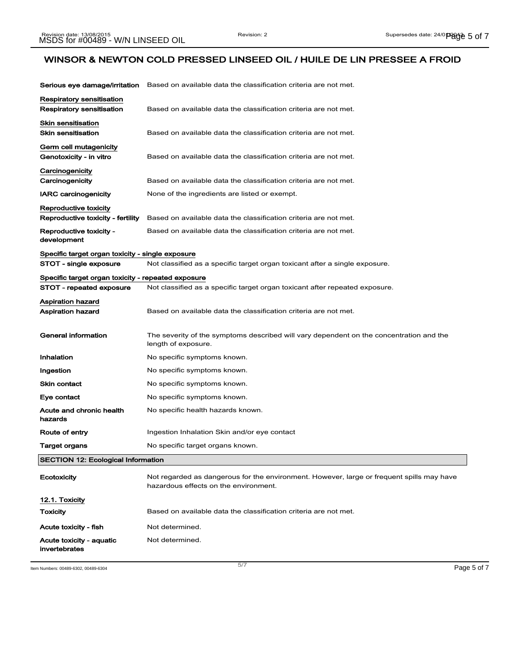| Serious eye damage/irritation                          | Based on available data the classification criteria are not met.                                                                   |
|--------------------------------------------------------|------------------------------------------------------------------------------------------------------------------------------------|
| Respiratory sensitisation<br>Respiratory sensitisation | Based on available data the classification criteria are not met.                                                                   |
| <b>Skin sensitisation</b><br>Skin sensitisation        | Based on available data the classification criteria are not met.                                                                   |
| Germ cell mutagenicity<br>Genotoxicity - in vitro      | Based on available data the classification criteria are not met.                                                                   |
| Carcinogenicity<br>Carcinogenicity                     | Based on available data the classification criteria are not met.                                                                   |
| <b>IARC carcinogenicity</b>                            | None of the ingredients are listed or exempt.                                                                                      |
| Reproductive toxicity                                  |                                                                                                                                    |
| Reproductive toxicity - fertility                      | Based on available data the classification criteria are not met.                                                                   |
| Reproductive toxicity -<br>development                 | Based on available data the classification criteria are not met.                                                                   |
| Specific target organ toxicity - single exposure       |                                                                                                                                    |
| STOT - single exposure                                 | Not classified as a specific target organ toxicant after a single exposure.                                                        |
| Specific target organ toxicity - repeated exposure     |                                                                                                                                    |
| STOT - repeated exposure                               | Not classified as a specific target organ toxicant after repeated exposure.                                                        |
| Aspiration hazard<br><b>Aspiration hazard</b>          | Based on available data the classification criteria are not met.                                                                   |
| General information                                    | The severity of the symptoms described will vary dependent on the concentration and the<br>length of exposure.                     |
| Inhalation                                             | No specific symptoms known.                                                                                                        |
| Ingestion                                              | No specific symptoms known.                                                                                                        |
| <b>Skin contact</b>                                    | No specific symptoms known.                                                                                                        |
| Eye contact                                            | No specific symptoms known.                                                                                                        |
| Acute and chronic health<br>hazards                    | No specific health hazards known.                                                                                                  |
| Route of entry                                         | Ingestion Inhalation Skin and/or eye contact                                                                                       |
| Target organs                                          | No specific target organs known.                                                                                                   |
| <b>SECTION 12: Ecological Information</b>              |                                                                                                                                    |
| Ecotoxicity                                            | Not regarded as dangerous for the environment. However, large or frequent spills may have<br>hazardous effects on the environment. |
| 12.1. Toxicity                                         |                                                                                                                                    |
| <b>Toxicity</b>                                        | Based on available data the classification criteria are not met.                                                                   |
| Acute toxicity - fish                                  | Not determined.                                                                                                                    |
| Acute toxicity - aquatic<br>invertebrates              | Not determined.                                                                                                                    |

Item Numbers: 00489-6302, 00489-6304 Page 5 of 7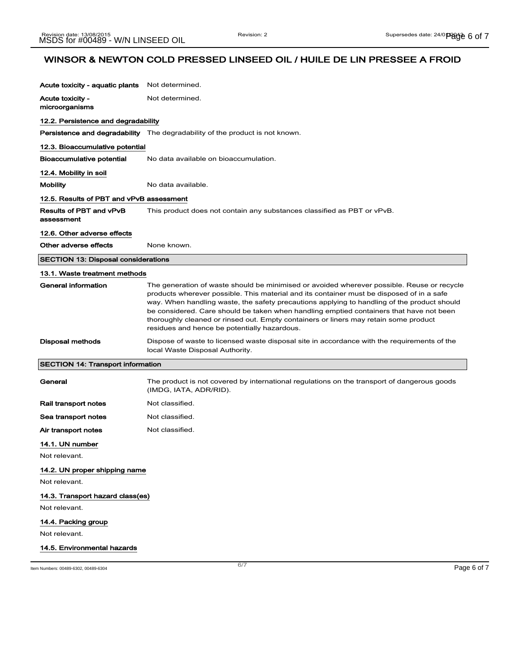| Acute toxicity - aquatic plants            | Not determined.                                                                                                                                                                                                                                                                                                                                                                                                                                                                                                           |
|--------------------------------------------|---------------------------------------------------------------------------------------------------------------------------------------------------------------------------------------------------------------------------------------------------------------------------------------------------------------------------------------------------------------------------------------------------------------------------------------------------------------------------------------------------------------------------|
| Acute toxicity -<br>microorganisms         | Not determined.                                                                                                                                                                                                                                                                                                                                                                                                                                                                                                           |
| 12.2. Persistence and degradability        |                                                                                                                                                                                                                                                                                                                                                                                                                                                                                                                           |
|                                            | <b>Persistence and degradability</b> The degradability of the product is not known.                                                                                                                                                                                                                                                                                                                                                                                                                                       |
| 12.3. Bioaccumulative potential            |                                                                                                                                                                                                                                                                                                                                                                                                                                                                                                                           |
| Bioaccumulative potential                  | No data available on bioaccumulation.                                                                                                                                                                                                                                                                                                                                                                                                                                                                                     |
| 12.4. Mobility in soil                     |                                                                                                                                                                                                                                                                                                                                                                                                                                                                                                                           |
| <b>Mobility</b>                            | No data available.                                                                                                                                                                                                                                                                                                                                                                                                                                                                                                        |
| 12.5. Results of PBT and vPvB assessment   |                                                                                                                                                                                                                                                                                                                                                                                                                                                                                                                           |
| Results of PBT and vPvB<br>assessment      | This product does not contain any substances classified as PBT or vPvB.                                                                                                                                                                                                                                                                                                                                                                                                                                                   |
| 12.6. Other adverse effects                |                                                                                                                                                                                                                                                                                                                                                                                                                                                                                                                           |
| Other adverse effects                      | None known.                                                                                                                                                                                                                                                                                                                                                                                                                                                                                                               |
| <b>SECTION 13: Disposal considerations</b> |                                                                                                                                                                                                                                                                                                                                                                                                                                                                                                                           |
| 13.1. Waste treatment methods              |                                                                                                                                                                                                                                                                                                                                                                                                                                                                                                                           |
| <b>General information</b>                 | The generation of waste should be minimised or avoided wherever possible. Reuse or recycle<br>products wherever possible. This material and its container must be disposed of in a safe<br>way. When handling waste, the safety precautions applying to handling of the product should<br>be considered. Care should be taken when handling emptied containers that have not been<br>thoroughly cleaned or rinsed out. Empty containers or liners may retain some product<br>residues and hence be potentially hazardous. |
| Disposal methods                           | Dispose of waste to licensed waste disposal site in accordance with the requirements of the<br>local Waste Disposal Authority.                                                                                                                                                                                                                                                                                                                                                                                            |
| <b>SECTION 14: Transport information</b>   |                                                                                                                                                                                                                                                                                                                                                                                                                                                                                                                           |
| General                                    | The product is not covered by international regulations on the transport of dangerous goods<br>(IMDG, IATA, ADR/RID).                                                                                                                                                                                                                                                                                                                                                                                                     |
| Rail transport notes                       | Not classified.                                                                                                                                                                                                                                                                                                                                                                                                                                                                                                           |
| Sea transport notes                        | Not classified.                                                                                                                                                                                                                                                                                                                                                                                                                                                                                                           |
| Air transport notes                        | Not classified.                                                                                                                                                                                                                                                                                                                                                                                                                                                                                                           |
| 14.1. UN number                            |                                                                                                                                                                                                                                                                                                                                                                                                                                                                                                                           |
| Not relevant.                              |                                                                                                                                                                                                                                                                                                                                                                                                                                                                                                                           |
| 14.2. UN proper shipping name              |                                                                                                                                                                                                                                                                                                                                                                                                                                                                                                                           |
| Not relevant.                              |                                                                                                                                                                                                                                                                                                                                                                                                                                                                                                                           |
| 14.3. Transport hazard class(es)           |                                                                                                                                                                                                                                                                                                                                                                                                                                                                                                                           |
| Not relevant.                              |                                                                                                                                                                                                                                                                                                                                                                                                                                                                                                                           |
| 14.4. Packing group                        |                                                                                                                                                                                                                                                                                                                                                                                                                                                                                                                           |
| Not relevant.                              |                                                                                                                                                                                                                                                                                                                                                                                                                                                                                                                           |
| 14.5. Environmental hazards                |                                                                                                                                                                                                                                                                                                                                                                                                                                                                                                                           |

Item Numbers: 00489-6302, 00489-6304 Page 6 of 7